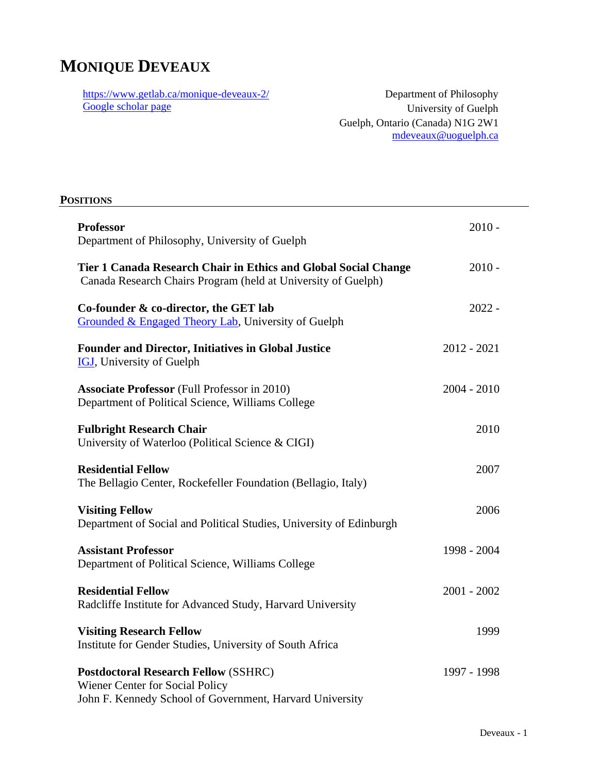# **MONIQUE DEVEAUX**

<https://www.getlab.ca/monique-deveaux-2/> [Google scholar page](https://scholar.google.com/citations?user=pArzReMAAAAJ&hl=en)

Department of Philosophy University of Guelph Guelph, Ontario (Canada) N1G 2W1 [mdeveaux@uoguelph.ca](mailto:mdeveaux@uoguelph.ca)

# **POSITIONS Professor** 2010 - Department of Philosophy, University of Guelph **Tier 1 Canada Research Chair in Ethics and Global Social Change** 2010 - Canada Research Chairs Program (held at University of Guelph) **Co-founder & co-director, the GET lab** 2022 - [Grounded & Engaged Theory Lab,](https://www.getlab.ca/) University of Guelph **Founder and Director, Initiatives in Global Justice** 2012 - 2021 [IGJ,](https://www.getlab.ca/overview/) University of Guelph **Associate Professor** (Full Professor in 2010) 2004 - 2010 Department of Political Science, Williams College **Fulbright Research Chair** 2010 University of Waterloo (Political Science & CIGI) **Residential Fellow** 2007 The Bellagio Center, Rockefeller Foundation (Bellagio, Italy) **Visiting Fellow** 2006 Department of Social and Political Studies, University of Edinburgh **Assistant Professor** 1998 - 2004 Department of Political Science, Williams College **Residential Fellow** 2001 - 2002 Radcliffe Institute for Advanced Study, Harvard University **Visiting Research Fellow** 1999 Institute for Gender Studies, University of South Africa

**Postdoctoral Research Fellow** (SSHRC) 1997 - 1998 Wiener Center for Social Policy John F. Kennedy School of Government, Harvard University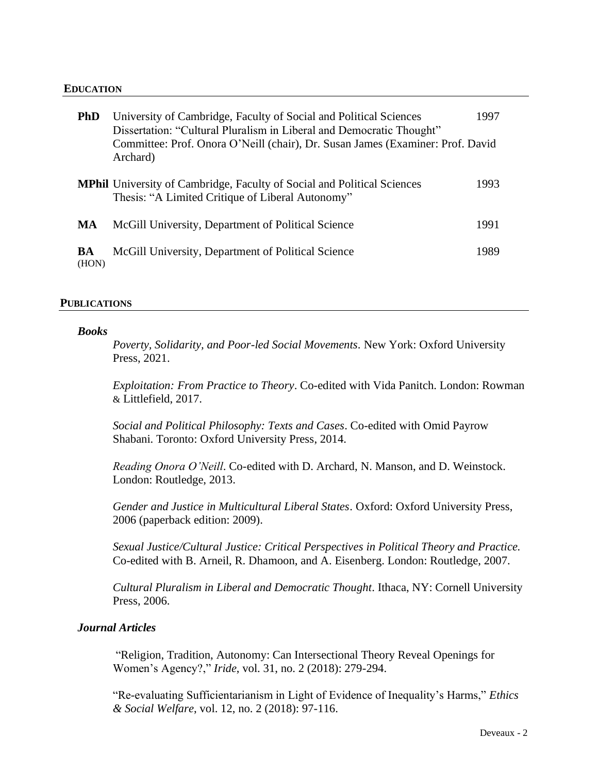#### **EDUCATION**

| <b>PhD</b>  | University of Cambridge, Faculty of Social and Political Sciences<br>Dissertation: "Cultural Pluralism in Liberal and Democratic Thought"<br>Committee: Prof. Onora O'Neill (chair), Dr. Susan James (Examiner: Prof. David<br>Archard) | 1997 |
|-------------|-----------------------------------------------------------------------------------------------------------------------------------------------------------------------------------------------------------------------------------------|------|
|             | <b>MPhil</b> University of Cambridge, Faculty of Social and Political Sciences<br>Thesis: "A Limited Critique of Liberal Autonomy"                                                                                                      | 1993 |
| MA          | McGill University, Department of Political Science                                                                                                                                                                                      | 1991 |
| BA<br>(HON) | McGill University, Department of Political Science                                                                                                                                                                                      | 1989 |

#### **PUBLICATIONS**

#### *Books*

*Poverty, Solidarity, and Poor-led Social Movements*. New York: Oxford University Press, 2021.

*Exploitation: From Practice to Theory*. Co-edited with Vida Panitch. London: Rowman & Littlefield, 2017.

*Social and Political Philosophy: Texts and Cases*. Co-edited with Omid Payrow Shabani. Toronto: Oxford University Press, 2014.

*Reading Onora O'Neill*. Co-edited with D. Archard, N. Manson, and D. Weinstock. London: Routledge, 2013.

*Gender and Justice in Multicultural Liberal States*. Oxford: Oxford University Press, 2006 (paperback edition: 2009).

*Sexual Justice/Cultural Justice: Critical Perspectives in Political Theory and Practice.* Co-edited with B. Arneil, R. Dhamoon, and A. Eisenberg. London: Routledge, 2007.

*Cultural Pluralism in Liberal and Democratic Thought*. Ithaca, NY: Cornell University Press, 2006.

### *Journal Articles*

"Religion, Tradition, Autonomy: Can Intersectional Theory Reveal Openings for Women's Agency?," *Iride*, vol. 31, no. 2 (2018): 279-294.

"Re-evaluating Sufficientarianism in Light of Evidence of Inequality's Harms," *Ethics & Social Welfare*, vol. 12, no. 2 (2018): 97-116.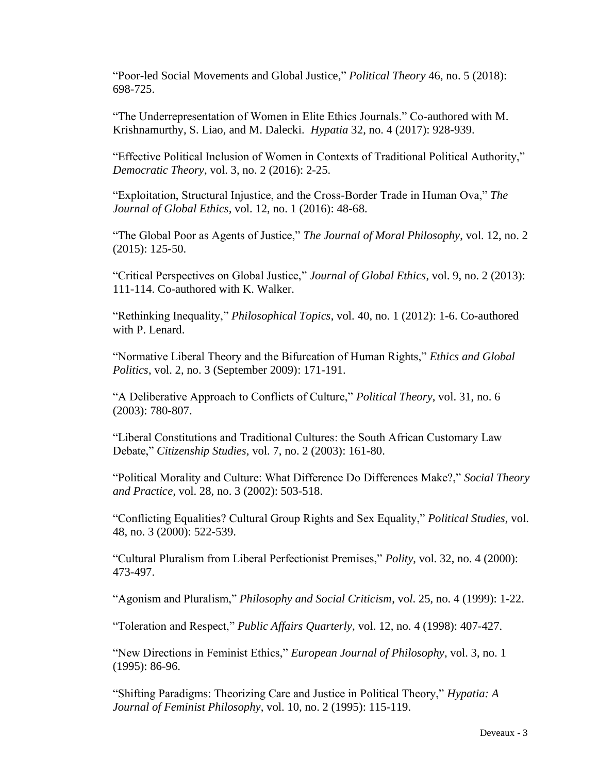"Poor-led Social Movements and Global Justice," *Political Theory* 46, no. 5 (2018): 698-725.

"The Underrepresentation of Women in Elite Ethics Journals." Co-authored with M. Krishnamurthy, S. Liao, and M. Dalecki. *Hypatia* 32, no. 4 (2017): 928-939.

"Effective Political Inclusion of Women in Contexts of Traditional Political Authority," *Democratic Theory*, vol. 3, no. 2 (2016): 2-25.

"Exploitation, Structural Injustice, and the Cross-Border Trade in Human Ova," *The Journal of Global Ethics,* vol. 12, no. 1 (2016): 48-68.

"The Global Poor as Agents of Justice," *The Journal of Moral Philosophy*, vol. 12, no. 2 (2015): 125-50.

"Critical Perspectives on Global Justice," *Journal of Global Ethics*, vol. 9, no. 2 (2013): 111-114. Co-authored with K. Walker.

"Rethinking Inequality," *Philosophical Topics*, vol. 40, no. 1 (2012): 1-6. Co-authored with P. Lenard.

"Normative Liberal Theory and the Bifurcation of Human Rights," *Ethics and Global Politics*, vol. 2, no. 3 (September 2009): 171-191.

"A Deliberative Approach to Conflicts of Culture," *Political Theory*, vol. 31, no. 6 (2003): 780-807.

"Liberal Constitutions and Traditional Cultures: the South African Customary Law Debate," *Citizenship Studies*, vol. 7, no. 2 (2003): 161-80.

"Political Morality and Culture: What Difference Do Differences Make?," *Social Theory and Practice,* vol. 28, no. 3 (2002): 503-518.

"Conflicting Equalities? Cultural Group Rights and Sex Equality," *Political Studies,* vol. 48, no. 3 (2000): 522-539.

"Cultural Pluralism from Liberal Perfectionist Premises," *Polity*, vol. 32, no. 4 (2000): 473-497.

"Agonism and Pluralism," *Philosophy and Social Criticism*, vo*l*. 25, no. 4 (1999): 1-22.

"Toleration and Respect," *Public Affairs Quarterly*, vol. 12, no. 4 (1998): 407-427.

"New Directions in Feminist Ethics," *European Journal of Philosophy*, vol. 3, no. 1 (1995): 86-96.

"Shifting Paradigms: Theorizing Care and Justice in Political Theory," *Hypatia: A Journal of Feminist Philosophy*, vol. 10, no. 2 (1995): 115-119.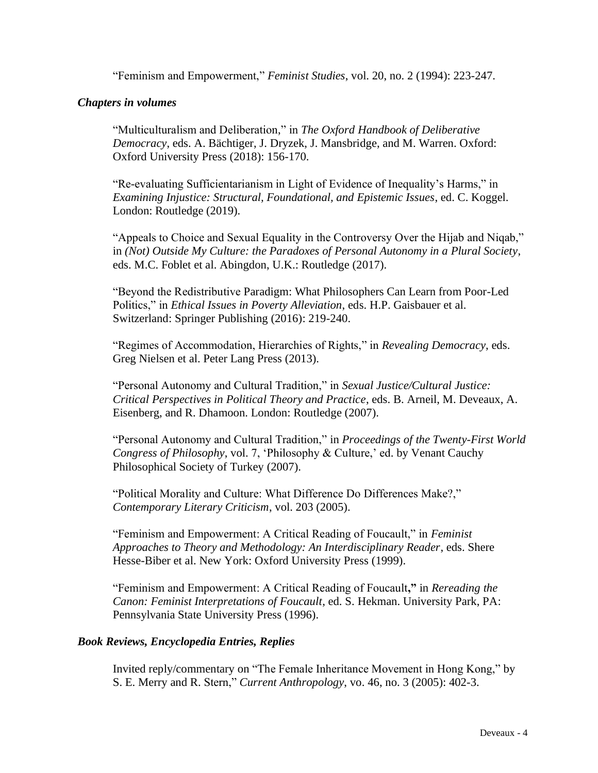"Feminism and Empowerment," *Feminist Studies*, vol. 20, no. 2 (1994): 223-247.

### *Chapters in volumes*

"Multiculturalism and Deliberation," in *The Oxford Handbook of Deliberative Democracy*, eds. A. Bächtiger, J. Dryzek, J. Mansbridge, and M. Warren. Oxford: Oxford University Press (2018): 156-170.

"Re-evaluating Sufficientarianism in Light of Evidence of Inequality's Harms," in *Examining Injustice: Structural, Foundational, and Epistemic Issues*, ed. C. Koggel. London: Routledge (2019).

"Appeals to Choice and Sexual Equality in the Controversy Over the Hijab and Niqab," in *(Not) Outside My Culture: the Paradoxes of Personal Autonomy in a Plural Society*, eds. M.C. Foblet et al. Abingdon, U.K.: Routledge (2017).

"Beyond the Redistributive Paradigm: What Philosophers Can Learn from Poor-Led Politics," in *Ethical Issues in Poverty Alleviation*, eds. H.P. Gaisbauer et al. Switzerland: Springer Publishing (2016): 219-240.

"Regimes of Accommodation, Hierarchies of Rights," in *Revealing Democracy*, eds. Greg Nielsen et al. Peter Lang Press (2013).

"Personal Autonomy and Cultural Tradition," in *Sexual Justice/Cultural Justice: Critical Perspectives in Political Theory and Practice*, eds. B. Arneil, M. Deveaux, A. Eisenberg, and R. Dhamoon. London: Routledge (2007).

"Personal Autonomy and Cultural Tradition," in *Proceedings of the Twenty-First World Congress of Philosophy*, vol. 7, 'Philosophy & Culture,' ed. by Venant Cauchy Philosophical Society of Turkey (2007).

"Political Morality and Culture: What Difference Do Differences Make?," *Contemporary Literary Criticism*, vol. 203 (2005).

"Feminism and Empowerment: A Critical Reading of Foucault," in *Feminist Approaches to Theory and Methodology: An Interdisciplinary Reader*, eds. Shere Hesse-Biber et al. New York: Oxford University Press (1999).

"Feminism and Empowerment: A Critical Reading of Foucault**,"** in *Rereading the Canon: Feminist Interpretations of Foucault*, ed. S. Hekman. University Park, PA: Pennsylvania State University Press (1996).

## *Book Reviews, Encyclopedia Entries, Replies*

Invited reply/commentary on "The Female Inheritance Movement in Hong Kong," by S. E. Merry and R. Stern," *Current Anthropology*, vo. 46, no. 3 (2005): 402-3.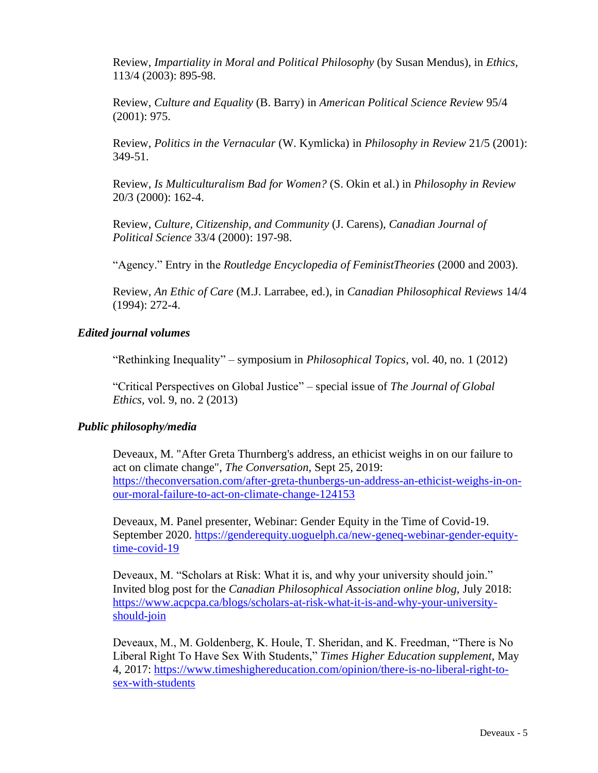Review, *Impartiality in Moral and Political Philosophy* (by Susan Mendus), in *Ethics*, 113/4 (2003): 895-98.

Review, *Culture and Equality* (B. Barry) in *American Political Science Review* 95/4 (2001): 975.

Review, *Politics in the Vernacular* (W. Kymlicka) in *Philosophy in Review* 21/5 (2001): 349-51.

Review, *Is Multiculturalism Bad for Women?* (S. Okin et al.) in *Philosophy in Review* 20/3 (2000): 162-4.

Review, *Culture, Citizenship, and Community* (J. Carens), *Canadian Journal of Political Science* 33/4 (2000): 197-98.

"Agency." Entry in the *Routledge Encyclopedia of FeministTheories* (2000 and 2003).

Review, *An Ethic of Care* (M.J. Larrabee, ed.), in *Canadian Philosophical Reviews* 14/4 (1994): 272-4.

#### *Edited journal volumes*

"Rethinking Inequality" – symposium in *Philosophical Topics*, vol. 40, no. 1 (2012)

"Critical Perspectives on Global Justice" – special issue of *The Journal of Global Ethics,* vol. 9, no. 2 (2013)

#### *Public philosophy/media*

Deveaux, M. "After Greta Thurnberg's address, an ethicist weighs in on our failure to act on climate change", *The Conversation*, Sept 25, 2019: [https://theconversation.com/after-greta-thunbergs-un-address-an-ethicist-weighs-in-on](https://theconversation.com/after-greta-thunbergs-un-address-an-ethicist-weighs-in-on-our-moral-failure-to-act-on-climate-change-124153)[our-moral-failure-to-act-on-climate-change-124153](https://theconversation.com/after-greta-thunbergs-un-address-an-ethicist-weighs-in-on-our-moral-failure-to-act-on-climate-change-124153)

Deveaux, M. Panel presenter, Webinar: Gender Equity in the Time of Covid-19. September 2020. [https://genderequity.uoguelph.ca/new-geneq-webinar-gender-equity](https://genderequity.uoguelph.ca/new-geneq-webinar-gender-equity-time-covid-19)[time-covid-19](https://genderequity.uoguelph.ca/new-geneq-webinar-gender-equity-time-covid-19)

Deveaux, M. "Scholars at Risk: What it is, and why your university should join." Invited blog post for the *Canadian Philosophical Association online blog,* July 2018: [https://www.acpcpa.ca/blogs/scholars-at-risk-what-it-is-and-why-your-university](https://www.acpcpa.ca/blogs/scholars-at-risk-what-it-is-and-why-your-university-should-join)[should-join](https://www.acpcpa.ca/blogs/scholars-at-risk-what-it-is-and-why-your-university-should-join)

Deveaux, M., M. Goldenberg, K. Houle, T. Sheridan, and K. Freedman, "There is No Liberal Right To Have Sex With Students," *Times Higher Education supplement*, May 4, 2017: [https://www.timeshighereducation.com/opinion/there-is-no-liberal-right-to](https://www.timeshighereducation.com/opinion/there-is-no-liberal-right-to-sex-with-students)[sex-with-students](https://www.timeshighereducation.com/opinion/there-is-no-liberal-right-to-sex-with-students)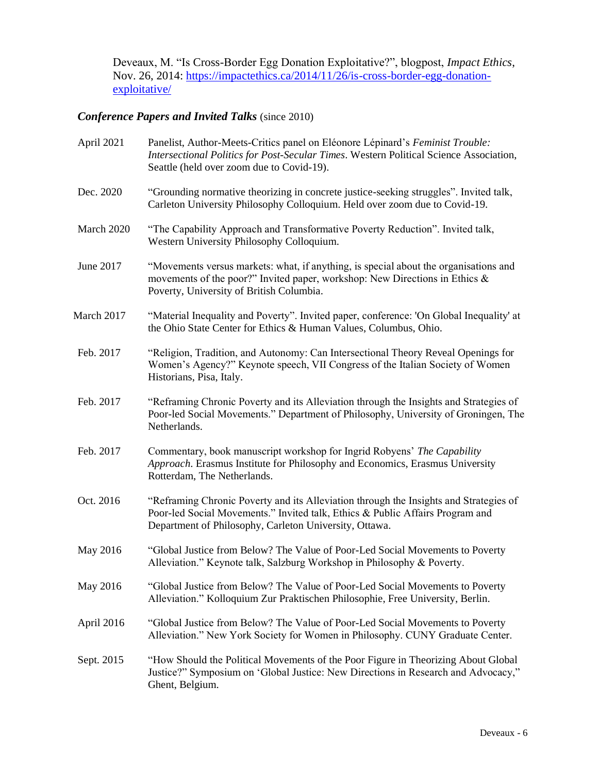Deveaux, M. "Is Cross-Border Egg Donation Exploitative?", blogpost, *Impact Ethics*, Nov. 26, 2014: [https://impactethics.ca/2014/11/26/is-cross-border-egg-donation](https://impactethics.ca/2014/11/26/is-cross-border-egg-donation-exploitative/)[exploitative/](https://impactethics.ca/2014/11/26/is-cross-border-egg-donation-exploitative/)

# *Conference Papers and Invited Talks* (since 2010)

| April 2021 | Panelist, Author-Meets-Critics panel on Eléonore Lépinard's Feminist Trouble:<br>Intersectional Politics for Post-Secular Times. Western Political Science Association,<br>Seattle (held over zoom due to Covid-19).             |
|------------|----------------------------------------------------------------------------------------------------------------------------------------------------------------------------------------------------------------------------------|
| Dec. 2020  | "Grounding normative theorizing in concrete justice-seeking struggles". Invited talk,<br>Carleton University Philosophy Colloquium. Held over zoom due to Covid-19.                                                              |
| March 2020 | "The Capability Approach and Transformative Poverty Reduction". Invited talk,<br>Western University Philosophy Colloquium.                                                                                                       |
| June 2017  | "Movements versus markets: what, if anything, is special about the organisations and<br>movements of the poor?" Invited paper, workshop: New Directions in Ethics &<br>Poverty, University of British Columbia.                  |
| March 2017 | "Material Inequality and Poverty". Invited paper, conference: 'On Global Inequality' at<br>the Ohio State Center for Ethics & Human Values, Columbus, Ohio.                                                                      |
| Feb. 2017  | "Religion, Tradition, and Autonomy: Can Intersectional Theory Reveal Openings for<br>Women's Agency?" Keynote speech, VII Congress of the Italian Society of Women<br>Historians, Pisa, Italy.                                   |
| Feb. 2017  | "Reframing Chronic Poverty and its Alleviation through the Insights and Strategies of<br>Poor-led Social Movements." Department of Philosophy, University of Groningen, The<br>Netherlands.                                      |
| Feb. 2017  | Commentary, book manuscript workshop for Ingrid Robyens' The Capability<br>Approach. Erasmus Institute for Philosophy and Economics, Erasmus University<br>Rotterdam, The Netherlands.                                           |
| Oct. 2016  | "Reframing Chronic Poverty and its Alleviation through the Insights and Strategies of<br>Poor-led Social Movements." Invited talk, Ethics & Public Affairs Program and<br>Department of Philosophy, Carleton University, Ottawa. |
| May 2016   | "Global Justice from Below? The Value of Poor-Led Social Movements to Poverty<br>Alleviation." Keynote talk, Salzburg Workshop in Philosophy & Poverty.                                                                          |
| May 2016   | "Global Justice from Below? The Value of Poor-Led Social Movements to Poverty<br>Alleviation." Kolloquium Zur Praktischen Philosophie, Free University, Berlin.                                                                  |
| April 2016 | "Global Justice from Below? The Value of Poor-Led Social Movements to Poverty<br>Alleviation." New York Society for Women in Philosophy. CUNY Graduate Center.                                                                   |
| Sept. 2015 | "How Should the Political Movements of the Poor Figure in Theorizing About Global<br>Justice?" Symposium on 'Global Justice: New Directions in Research and Advocacy,"<br>Ghent, Belgium.                                        |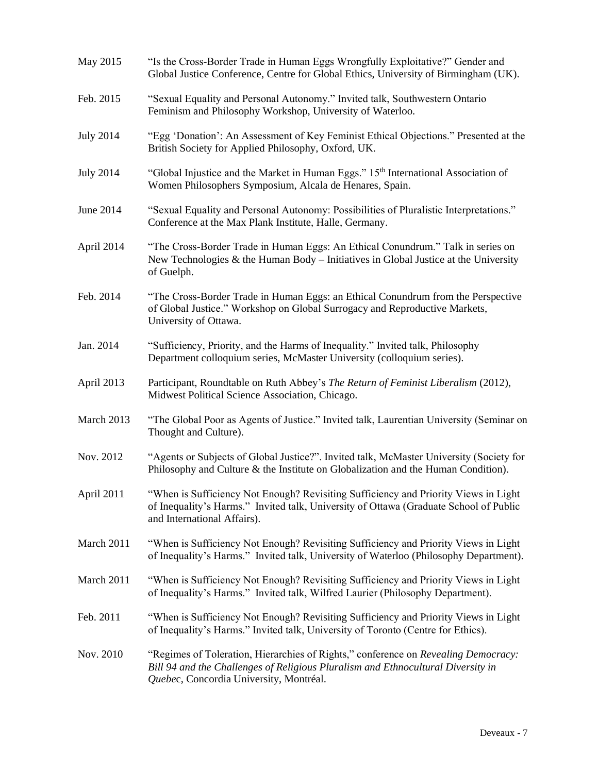| May 2015         | "Is the Cross-Border Trade in Human Eggs Wrongfully Exploitative?" Gender and<br>Global Justice Conference, Centre for Global Ethics, University of Birmingham (UK).                                              |
|------------------|-------------------------------------------------------------------------------------------------------------------------------------------------------------------------------------------------------------------|
| Feb. 2015        | "Sexual Equality and Personal Autonomy." Invited talk, Southwestern Ontario<br>Feminism and Philosophy Workshop, University of Waterloo.                                                                          |
| <b>July 2014</b> | "Egg 'Donation': An Assessment of Key Feminist Ethical Objections." Presented at the<br>British Society for Applied Philosophy, Oxford, UK.                                                                       |
| <b>July 2014</b> | "Global Injustice and the Market in Human Eggs." 15 <sup>th</sup> International Association of<br>Women Philosophers Symposium, Alcala de Henares, Spain.                                                         |
| June 2014        | "Sexual Equality and Personal Autonomy: Possibilities of Pluralistic Interpretations."<br>Conference at the Max Plank Institute, Halle, Germany.                                                                  |
| April 2014       | "The Cross-Border Trade in Human Eggs: An Ethical Conundrum." Talk in series on<br>New Technologies & the Human Body - Initiatives in Global Justice at the University<br>of Guelph.                              |
| Feb. 2014        | "The Cross-Border Trade in Human Eggs: an Ethical Conundrum from the Perspective<br>of Global Justice." Workshop on Global Surrogacy and Reproductive Markets,<br>University of Ottawa.                           |
| Jan. 2014        | "Sufficiency, Priority, and the Harms of Inequality." Invited talk, Philosophy<br>Department colloquium series, McMaster University (colloquium series).                                                          |
| April 2013       | Participant, Roundtable on Ruth Abbey's The Return of Feminist Liberalism (2012),<br>Midwest Political Science Association, Chicago.                                                                              |
| March 2013       | "The Global Poor as Agents of Justice." Invited talk, Laurentian University (Seminar on<br>Thought and Culture).                                                                                                  |
| Nov. 2012        | "Agents or Subjects of Global Justice?". Invited talk, McMaster University (Society for<br>Philosophy and Culture $\&$ the Institute on Globalization and the Human Condition).                                   |
| April 2011       | "When is Sufficiency Not Enough? Revisiting Sufficiency and Priority Views in Light<br>of Inequality's Harms." Invited talk, University of Ottawa (Graduate School of Public<br>and International Affairs).       |
| March 2011       | "When is Sufficiency Not Enough? Revisiting Sufficiency and Priority Views in Light<br>of Inequality's Harms." Invited talk, University of Waterloo (Philosophy Department).                                      |
| March 2011       | "When is Sufficiency Not Enough? Revisiting Sufficiency and Priority Views in Light<br>of Inequality's Harms." Invited talk, Wilfred Laurier (Philosophy Department).                                             |
| Feb. 2011        | "When is Sufficiency Not Enough? Revisiting Sufficiency and Priority Views in Light<br>of Inequality's Harms." Invited talk, University of Toronto (Centre for Ethics).                                           |
| Nov. 2010        | "Regimes of Toleration, Hierarchies of Rights," conference on Revealing Democracy:<br>Bill 94 and the Challenges of Religious Pluralism and Ethnocultural Diversity in<br>Quebec, Concordia University, Montréal. |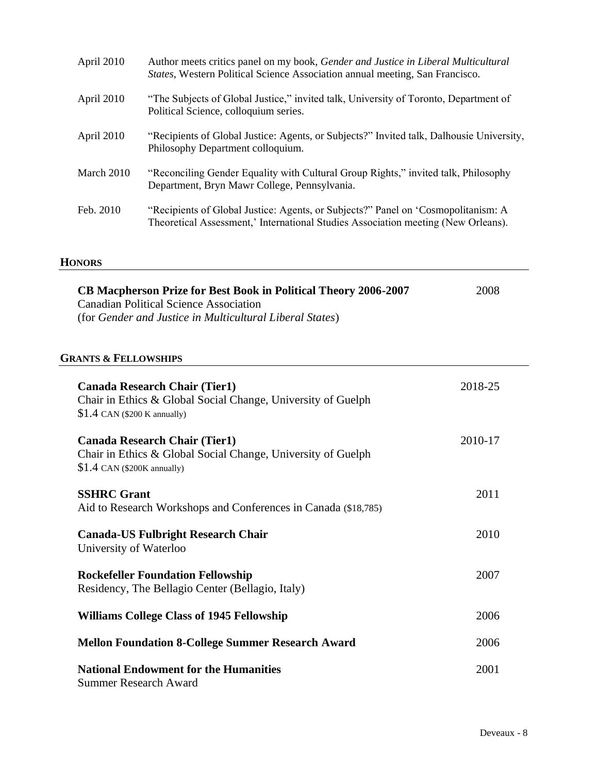| April 2010 | Author meets critics panel on my book, Gender and Justice in Liberal Multicultural<br>States, Western Political Science Association annual meeting, San Francisco.     |
|------------|------------------------------------------------------------------------------------------------------------------------------------------------------------------------|
| April 2010 | "The Subjects of Global Justice," invited talk, University of Toronto, Department of<br>Political Science, colloquium series.                                          |
| April 2010 | "Recipients of Global Justice: Agents, or Subjects?" Invited talk, Dalhousie University,<br>Philosophy Department colloquium.                                          |
| March 2010 | "Reconciling Gender Equality with Cultural Group Rights," invited talk, Philosophy<br>Department, Bryn Mawr College, Pennsylvania.                                     |
| Feb. 2010  | "Recipients of Global Justice: Agents, or Subjects?" Panel on 'Cosmopolitanism: A<br>Theoretical Assessment,' International Studies Association meeting (New Orleans). |

#### **HONORS**

| CB Macpherson Prize for Best Book in Political Theory 2006-2007<br><b>Canadian Political Science Association</b><br>(for Gender and Justice in Multicultural Liberal States) | 2008    |
|------------------------------------------------------------------------------------------------------------------------------------------------------------------------------|---------|
| <b>GRANTS &amp; FELLOWSHIPS</b>                                                                                                                                              |         |
| <b>Canada Research Chair (Tier1)</b><br>Chair in Ethics & Global Social Change, University of Guelph<br>$$1.4$ CAN (\$200 K annually)                                        | 2018-25 |
| <b>Canada Research Chair (Tier1)</b><br>Chair in Ethics & Global Social Change, University of Guelph<br>$$1.4$ CAN (\$200K annually)                                         | 2010-17 |
| <b>SSHRC Grant</b><br>Aid to Research Workshops and Conferences in Canada (\$18,785)                                                                                         | 2011    |
| <b>Canada-US Fulbright Research Chair</b><br>University of Waterloo                                                                                                          | 2010    |
| <b>Rockefeller Foundation Fellowship</b><br>Residency, The Bellagio Center (Bellagio, Italy)                                                                                 | 2007    |
| <b>Williams College Class of 1945 Fellowship</b>                                                                                                                             | 2006    |
| <b>Mellon Foundation 8-College Summer Research Award</b>                                                                                                                     | 2006    |
| <b>National Endowment for the Humanities</b><br><b>Summer Research Award</b>                                                                                                 | 2001    |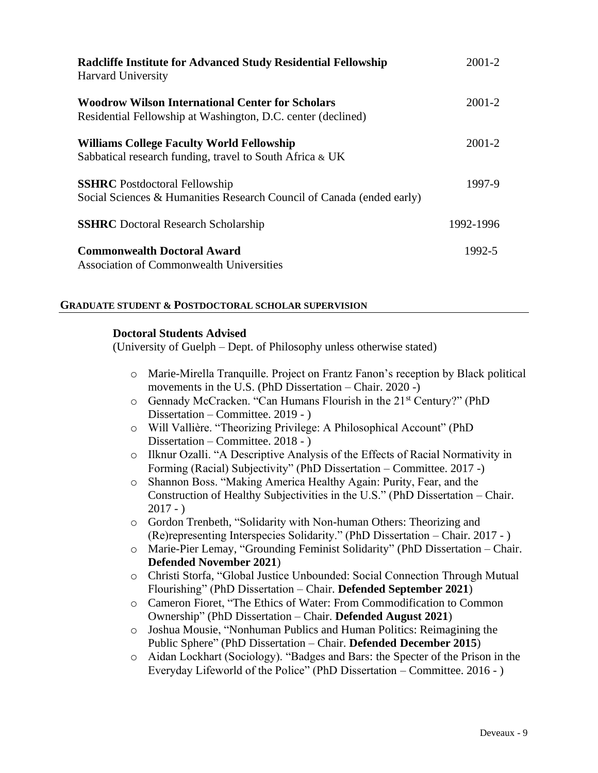| <b>Radcliffe Institute for Advanced Study Residential Fellowship</b><br><b>Harvard University</b>                | $2001 - 2$ |
|------------------------------------------------------------------------------------------------------------------|------------|
| Woodrow Wilson International Center for Scholars<br>Residential Fellowship at Washington, D.C. center (declined) | $2001 - 2$ |
| <b>Williams College Faculty World Fellowship</b><br>Sabbatical research funding, travel to South Africa & UK     | $2001 - 2$ |
| <b>SSHRC</b> Postdoctoral Fellowship<br>Social Sciences & Humanities Research Council of Canada (ended early)    | 1997-9     |
| <b>SSHRC</b> Doctoral Research Scholarship                                                                       | 1992-1996  |
| <b>Commonwealth Doctoral Award</b><br><b>Association of Commonwealth Universities</b>                            | 1992-5     |

## **GRADUATE STUDENT & POSTDOCTORAL SCHOLAR SUPERVISION**

#### **Doctoral Students Advised**

(University of Guelph – Dept. of Philosophy unless otherwise stated)

- o Marie-Mirella Tranquille. Project on Frantz Fanon's reception by Black political movements in the U.S. (PhD Dissertation – Chair. 2020 -)
- o Gennady McCracken. "Can Humans Flourish in the 21st Century?" (PhD Dissertation – Committee. 2019 - )
- o Will Vallière. "Theorizing Privilege: A Philosophical Account" (PhD Dissertation – Committee. 2018 - )
- o Ilknur Ozalli. "A Descriptive Analysis of the Effects of Racial Normativity in Forming (Racial) Subjectivity" (PhD Dissertation – Committee. 2017 -)
- o Shannon Boss. "Making America Healthy Again: Purity, Fear, and the Construction of Healthy Subjectivities in the U.S." (PhD Dissertation – Chair.  $2017 - )$
- o Gordon Trenbeth, "Solidarity with Non-human Others: Theorizing and (Re)representing Interspecies Solidarity." (PhD Dissertation – Chair. 2017 - )
- o Marie-Pier Lemay, "Grounding Feminist Solidarity" (PhD Dissertation Chair. **Defended November 2021**)
- o Christi Storfa, "Global Justice Unbounded: Social Connection Through Mutual Flourishing" (PhD Dissertation – Chair. **Defended September 2021**)
- o Cameron Fioret, "The Ethics of Water: From Commodification to Common Ownership" (PhD Dissertation – Chair. **Defended August 2021**)
- o Joshua Mousie, "Nonhuman Publics and Human Politics: Reimagining the Public Sphere" (PhD Dissertation – Chair. **Defended December 2015**)
- o Aidan Lockhart (Sociology). "Badges and Bars: the Specter of the Prison in the Everyday Lifeworld of the Police" (PhD Dissertation – Committee. 2016 - )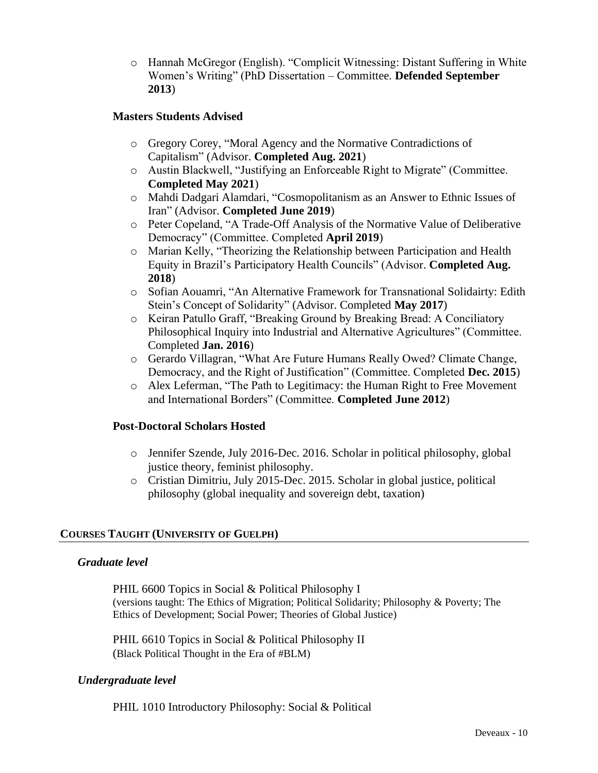o Hannah McGregor (English). "Complicit Witnessing: Distant Suffering in White Women's Writing" (PhD Dissertation – Committee. **Defended September 2013**)

## **Masters Students Advised**

- o Gregory Corey, "Moral Agency and the Normative Contradictions of Capitalism" (Advisor. **Completed Aug. 2021**)
- o Austin Blackwell, "Justifying an Enforceable Right to Migrate" (Committee. **Completed May 2021**)
- o Mahdi Dadgari Alamdari, "Cosmopolitanism as an Answer to Ethnic Issues of Iran" (Advisor. **Completed June 2019**)
- o Peter Copeland, "A Trade-Off Analysis of the Normative Value of Deliberative Democracy" (Committee. Completed **April 2019**)
- o Marian Kelly, "Theorizing the Relationship between Participation and Health Equity in Brazil's Participatory Health Councils" (Advisor. **Completed Aug. 2018**)
- o Sofian Aouamri, "An Alternative Framework for Transnational Solidairty: Edith Stein's Concept of Solidarity" (Advisor. Completed **May 2017**)
- o Keiran Patullo Graff, "Breaking Ground by Breaking Bread: A Conciliatory Philosophical Inquiry into Industrial and Alternative Agricultures" (Committee. Completed **Jan. 2016**)
- o Gerardo Villagran, "What Are Future Humans Really Owed? Climate Change, Democracy, and the Right of Justification" (Committee. Completed **Dec. 2015**)
- o Alex Leferman, "The Path to Legitimacy: the Human Right to Free Movement and International Borders" (Committee. **Completed June 2012**)

## **Post-Doctoral Scholars Hosted**

- o Jennifer Szende, July 2016-Dec. 2016. Scholar in political philosophy, global justice theory, feminist philosophy.
- o Cristian Dimitriu, July 2015-Dec. 2015. Scholar in global justice, political philosophy (global inequality and sovereign debt, taxation)

## **COURSES TAUGHT (UNIVERSITY OF GUELPH)**

## *Graduate level*

PHIL 6600 Topics in Social & Political Philosophy I (versions taught: The Ethics of Migration; Political Solidarity; Philosophy & Poverty; The Ethics of Development; Social Power; Theories of Global Justice)

PHIL 6610 Topics in Social & Political Philosophy II (Black Political Thought in the Era of #BLM)

## *Undergraduate level*

PHIL 1010 Introductory Philosophy: Social & Political